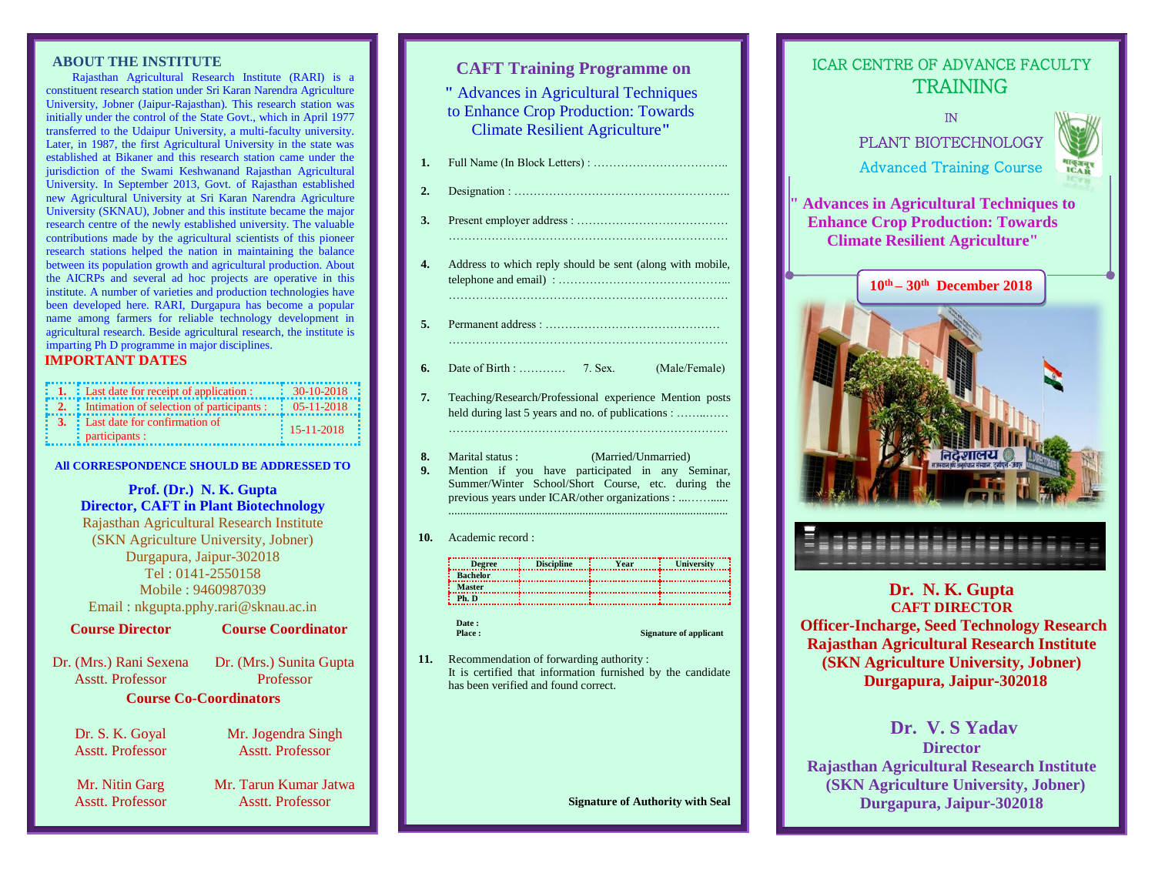#### **ABOUT THE INSTITUTE**

Rajasthan Agricultural Research Institute (RARI) is a constituent research station under Sri Karan Narendra Agriculture University, Jobner (Jaipur-Rajasthan). This research station was initially under the control of the State Govt., which in April 1977 transferred to the Udaipur University, a multi-faculty university. Later, in 1987, the first Agricultural University in the state was established at Bikaner and this research station came under the jurisdiction of the Swami Keshwanand Rajasthan Agricultural University. In September 2013, Govt. of Rajasthan established new Agricultural University at Sri Karan Narendra Agriculture University (SKNAU), Jobner and this institute became the major research centre of the newly established university. The valuable contributions made by the agricultural scientists of this pioneer research stations helped the nation in maintaining the balance between its population growth and agricultural production. About the AICRPs and several ad hoc projects are operative in this institute. A number of varieties and production technologies have been developed here. RARI, Durgapura has become a popular name among farmers for reliable technology development in agricultural research. Beside agricultural research, the institute is imparting Ph D programme in major disciplines.

### **IMPORTANT DATES**

| : 1. : Last date for receipt of application :                 | $30-10-2018$             |
|---------------------------------------------------------------|--------------------------|
| $\therefore$ 2. : Intimation of selection of participants :   | $\div$ 05-11-2018        |
| <b>3.</b> Last date for confirmation of<br>$:$ participants : | $\frac{1}{2}$ 15-11-2018 |

**All CORRESPONDENCE SHOULD BE ADDRESSED TO**

## **Prof. (Dr.) N. K. Gupta Director, CAFT in Plant Biotechnology**

Rajasthan Agricultural Research Institute (SKN Agriculture University, Jobner) Durgapura, Jaipur-302018 Tel : 0141-2550158 Mobile : 9460987039 Email : nkgupta.pphy.rari@sknau.ac.in

**Course Director**

**Course Coordinator**

Dr. (Mrs.) Rani Sexena Asstt. Professor

Dr. (Mrs.) Sunita Gupta Professor **Course Co-Coordinators**

Dr. S. K. Goyal Asstt. Professor

Asstt. Professor

Mr. Nitin Garg

Mr. Tarun Kumar Jatwa Asstt. Professor

Mr. Jogendra Singh Asstt. Professor

# **CAFT Training Programme on**

**"** Advances in Agricultural Techniques to Enhance Crop Production: Towards Climate Resilient Agriculture**"**

- **1.** Full Name (In Block Letters) : ……………………………..
- **2.** Designation : ………………………………………………..
- **3.** Present employer address : ………………………………… ………………………………………………………………
- **4.** Address to which reply should be sent (along with mobile, telephone and email) : ……………………………………... ………………………………………………………………
- **5.** Permanent address : ……………………………………… ………………………………………………………………
- Date of Birth : ………… 7. Sex. (Male/Female)
- **7.** Teaching/Research/Professional experience Mention posts held during last 5 years and no. of publications : ……....... ………………………………………………………………
- **8.** Marital status : (Married/Unmarried)
- **9.** Mention if you have participated in any Seminar, Summer/Winter School/Short Course, etc. during the previous years under ICAR/other organizations : ...……......
- **10.** Academic record :

| <b>Degree</b>   | <b>Discipline</b> | <b>Year</b> | <b>University</b> |
|-----------------|-------------------|-------------|-------------------|
| <b>Bachelor</b> |                   |             |                   |
| <b>Master</b>   |                   |             |                   |
| Ph. D           |                   |             |                   |

................................................................................................

# **Date :**

**Signature of applicant** 

**11.** Recommendation of forwarding authority : It is certified that information furnished by the candidate has been verified and found correct.

**Signature of Authority with Seal**



ICAR CENTRE OF ADVANCE FACULTY

# **CAFT DIRECTOR**

**Officer-Incharge, Seed Technology Research Rajasthan Agricultural Research Institute (SKN Agriculture University, Jobner) Durgapura, Jaipur-302018**

# **Dr. V. S Yadav**

**Director Rajasthan Agricultural Research Institute (SKN Agriculture University, Jobner) Durgapura, Jaipur-302018**